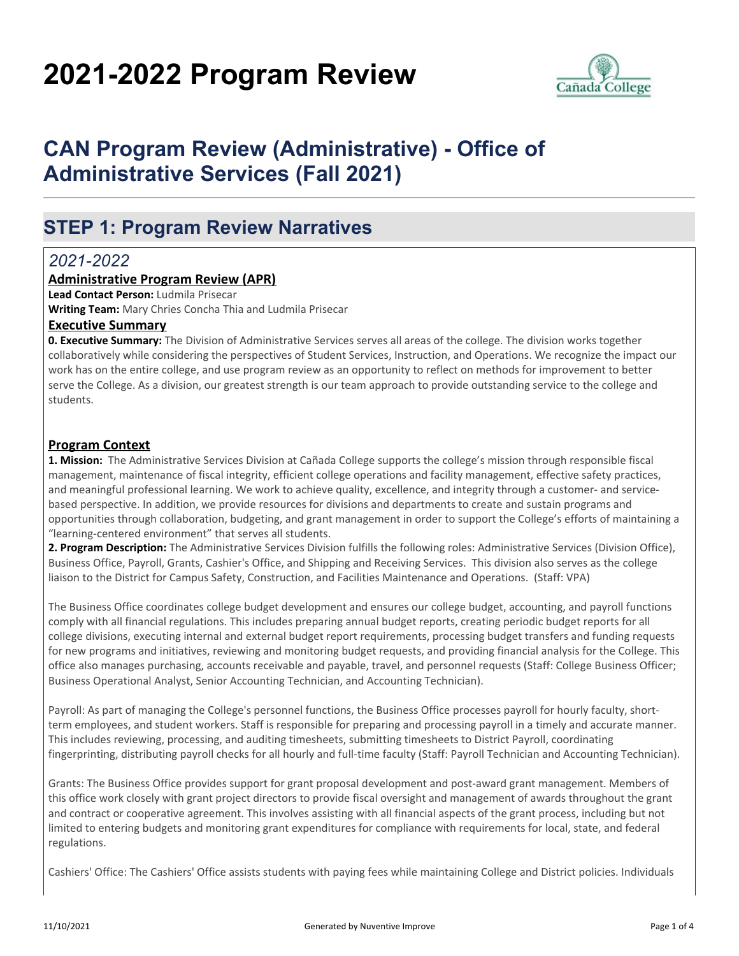# **2021-2022 Program Review**



# **CAN Program Review (Administrative) - Office of Administrative Services (Fall 2021)**

# **STEP 1: Program Review Narratives**

# *2021-2022*

### **Administrative Program Review (APR)**

**Lead Contact Person:** Ludmila Prisecar

**Writing Team:** Mary Chries Concha Thia and Ludmila Prisecar

#### **Executive Summary**

**0. Executive Summary:** The Division of Administrative Services serves all areas of the college. The division works together collaboratively while considering the perspectives of Student Services, Instruction, and Operations. We recognize the impact our work has on the entire college, and use program review as an opportunity to reflect on methods for improvement to better serve the College. As a division, our greatest strength is our team approach to provide outstanding service to the college and students.

#### **Program Context**

**1. Mission:** The Administrative Services Division at Cañada College supports the college's mission through responsible fiscal management, maintenance of fiscal integrity, efficient college operations and facility management, effective safety practices, and meaningful professional learning. We work to achieve quality, excellence, and integrity through a customer- and servicebased perspective. In addition, we provide resources for divisions and departments to create and sustain programs and opportunities through collaboration, budgeting, and grant management in order to support the College's efforts of maintaining a "learning-centered environment" that serves all students.

**2. Program Description:** The Administrative Services Division fulfills the following roles: Administrative Services (Division Office), Business Office, Payroll, Grants, Cashier's Office, and Shipping and Receiving Services. This division also serves as the college liaison to the District for Campus Safety, Construction, and Facilities Maintenance and Operations. (Staff: VPA)

The Business Office coordinates college budget development and ensures our college budget, accounting, and payroll functions comply with all financial regulations. This includes preparing annual budget reports, creating periodic budget reports for all college divisions, executing internal and external budget report requirements, processing budget transfers and funding requests for new programs and initiatives, reviewing and monitoring budget requests, and providing financial analysis for the College. This office also manages purchasing, accounts receivable and payable, travel, and personnel requests (Staff: College Business Officer; Business Operational Analyst, Senior Accounting Technician, and Accounting Technician).

Payroll: As part of managing the College's personnel functions, the Business Office processes payroll for hourly faculty, shortterm employees, and student workers. Staff is responsible for preparing and processing payroll in a timely and accurate manner. This includes reviewing, processing, and auditing timesheets, submitting timesheets to District Payroll, coordinating fingerprinting, distributing payroll checks for all hourly and full-time faculty (Staff: Payroll Technician and Accounting Technician).

Grants: The Business Office provides support for grant proposal development and post-award grant management. Members of this office work closely with grant project directors to provide fiscal oversight and management of awards throughout the grant and contract or cooperative agreement. This involves assisting with all financial aspects of the grant process, including but not limited to entering budgets and monitoring grant expenditures for compliance with requirements for local, state, and federal regulations.

Cashiers' Office: The Cashiers' Office assists students with paying fees while maintaining College and District policies. Individuals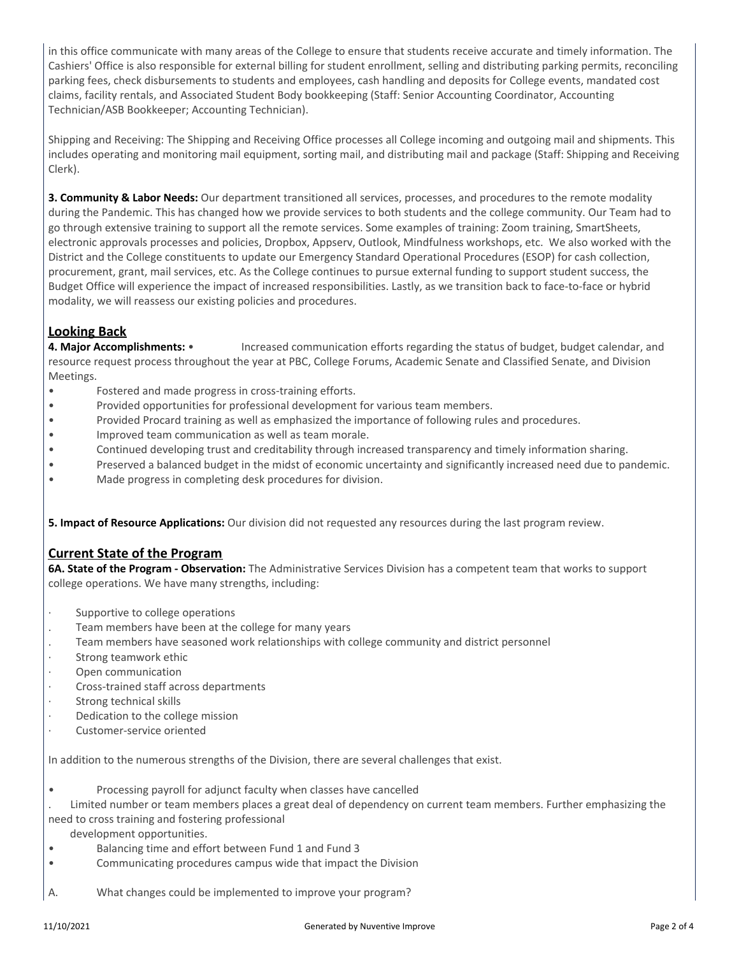in this office communicate with many areas of the College to ensure that students receive accurate and timely information. The Cashiers' Office is also responsible for external billing for student enrollment, selling and distributing parking permits, reconciling parking fees, check disbursements to students and employees, cash handling and deposits for College events, mandated cost claims, facility rentals, and Associated Student Body bookkeeping (Staff: Senior Accounting Coordinator, Accounting Technician/ASB Bookkeeper; Accounting Technician).

Shipping and Receiving: The Shipping and Receiving Office processes all College incoming and outgoing mail and shipments. This includes operating and monitoring mail equipment, sorting mail, and distributing mail and package (Staff: Shipping and Receiving Clerk).

**3. Community & Labor Needs:** Our department transitioned all services, processes, and procedures to the remote modality during the Pandemic. This has changed how we provide services to both students and the college community. Our Team had to go through extensive training to support all the remote services. Some examples of training: Zoom training, SmartSheets, electronic approvals processes and policies, Dropbox, Appserv, Outlook, Mindfulness workshops, etc. We also worked with the District and the College constituents to update our Emergency Standard Operational Procedures (ESOP) for cash collection, procurement, grant, mail services, etc. As the College continues to pursue external funding to support student success, the Budget Office will experience the impact of increased responsibilities. Lastly, as we transition back to face-to-face or hybrid modality, we will reassess our existing policies and procedures.

# **Looking Back**

**4. Major Accomplishments:** • Increased communication efforts regarding the status of budget, budget calendar, and resource request process throughout the year at PBC, College Forums, Academic Senate and Classified Senate, and Division Meetings.

- Fostered and made progress in cross-training efforts.
- Provided opportunities for professional development for various team members.
- Provided Procard training as well as emphasized the importance of following rules and procedures.
- Improved team communication as well as team morale.
- Continued developing trust and creditability through increased transparency and timely information sharing.
- Preserved a balanced budget in the midst of economic uncertainty and significantly increased need due to pandemic.
- Made progress in completing desk procedures for division.

**5. Impact of Resource Applications:** Our division did not requested any resources during the last program review.

## **Current State of the Program**

**6A. State of the Program - Observation:** The Administrative Services Division has a competent team that works to support college operations. We have many strengths, including:

- Supportive to college operations
- . Team members have been at the college for many years
- . Team members have seasoned work relationships with college community and district personnel
- Strong teamwork ethic
- Open communication
- · Cross-trained staff across departments
- Strong technical skills
- Dedication to the college mission
- Customer-service oriented

In addition to the numerous strengths of the Division, there are several challenges that exist.

• Processing payroll for adjunct faculty when classes have cancelled

. Limited number or team members places a great deal of dependency on current team members. Further emphasizing the need to cross training and fostering professional

development opportunities.

- Balancing time and effort between Fund 1 and Fund 3
- Communicating procedures campus wide that impact the Division
- A. What changes could be implemented to improve your program?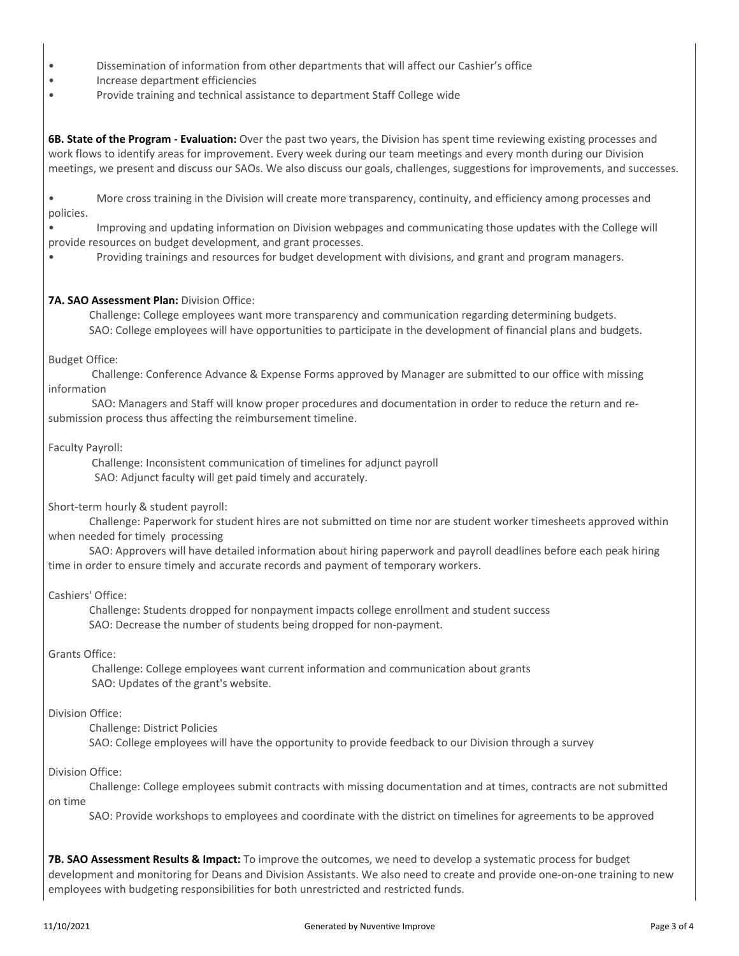- Dissemination of information from other departments that will affect our Cashier's office
- Increase department efficiencies
- Provide training and technical assistance to department Staff College wide

**6B. State of the Program - Evaluation:** Over the past two years, the Division has spent time reviewing existing processes and work flows to identify areas for improvement. Every week during our team meetings and every month during our Division meetings, we present and discuss our SAOs. We also discuss our goals, challenges, suggestions for improvements, and successes.

• More cross training in the Division will create more transparency, continuity, and efficiency among processes and policies.

• Improving and updating information on Division webpages and communicating those updates with the College will provide resources on budget development, and grant processes.

• Providing trainings and resources for budget development with divisions, and grant and program managers.

#### **7A. SAO Assessment Plan:** Division Office:

 Challenge: College employees want more transparency and communication regarding determining budgets. SAO: College employees will have opportunities to participate in the development of financial plans and budgets.

Budget Office:

 Challenge: Conference Advance & Expense Forms approved by Manager are submitted to our office with missing information

 SAO: Managers and Staff will know proper procedures and documentation in order to reduce the return and resubmission process thus affecting the reimbursement timeline.

Faculty Payroll:

 Challenge: Inconsistent communication of timelines for adjunct payroll SAO: Adjunct faculty will get paid timely and accurately.

Short-term hourly & student payroll:

 Challenge: Paperwork for student hires are not submitted on time nor are student worker timesheets approved within when needed for timely processing

 SAO: Approvers will have detailed information about hiring paperwork and payroll deadlines before each peak hiring time in order to ensure timely and accurate records and payment of temporary workers.

#### Cashiers' Office:

 Challenge: Students dropped for nonpayment impacts college enrollment and student success SAO: Decrease the number of students being dropped for non-payment.

Grants Office:

 Challenge: College employees want current information and communication about grants SAO: Updates of the grant's website.

#### Division Office:

Challenge: District Policies

SAO: College employees will have the opportunity to provide feedback to our Division through a survey

Division Office:

 Challenge: College employees submit contracts with missing documentation and at times, contracts are not submitted on time

SAO: Provide workshops to employees and coordinate with the district on timelines for agreements to be approved

**7B. SAO Assessment Results & Impact:** To improve the outcomes, we need to develop a systematic process for budget development and monitoring for Deans and Division Assistants. We also need to create and provide one-on-one training to new employees with budgeting responsibilities for both unrestricted and restricted funds.